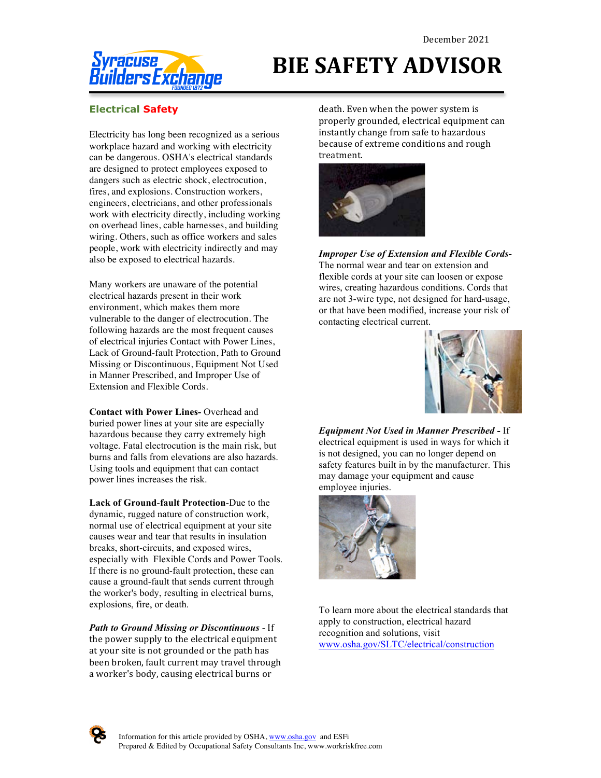

## **BIE SAFETY ADVISOR**

## **Electrical Safety**

Electricity has long been recognized as a serious workplace hazard and working with electricity can be dangerous. OSHA's electrical standards are designed to protect employees exposed to dangers such as electric shock, electrocution, fires, and explosions. Construction workers, engineers, electricians, and other professionals work with electricity directly, including working on overhead lines, cable harnesses, and building wiring. Others, such as office workers and sales people, work with electricity indirectly and may also be exposed to electrical hazards.

Many workers are unaware of the potential electrical hazards present in their work environment, which makes them more vulnerable to the danger of electrocution. The following hazards are the most frequent causes of electrical injuries Contact with Power Lines, Lack of Ground-fault Protection, Path to Ground Missing or Discontinuous, Equipment Not Used in Manner Prescribed, and Improper Use of Extension and Flexible Cords.

**Contact with Power Lines-** Overhead and buried power lines at your site are especially hazardous because they carry extremely high voltage. Fatal electrocution is the main risk, but burns and falls from elevations are also hazards. Using tools and equipment that can contact power lines increases the risk.

**Lack of Ground**-**fault Protection**-Due to the dynamic, rugged nature of construction work, normal use of electrical equipment at your site causes wear and tear that results in insulation breaks, short-circuits, and exposed wires, especially with Flexible Cords and Power Tools. If there is no ground-fault protection, these can cause a ground-fault that sends current through the worker's body, resulting in electrical burns, explosions, fire, or death.

*Path to Ground Missing or Discontinuous* - If the power supply to the electrical equipment at your site is not grounded or the path has been broken, fault current may travel through a worker's body, causing electrical burns or

death. Even when the power system is properly grounded, electrical equipment can instantly change from safe to hazardous because of extreme conditions and rough treatment.



*Improper Use of Extension and Flexible Cords-*The normal wear and tear on extension and flexible cords at your site can loosen or expose wires, creating hazardous conditions. Cords that are not 3-wire type, not designed for hard-usage, or that have been modified, increase your risk of contacting electrical current.



*Equipment Not Used in Manner Prescribed -* If electrical equipment is used in ways for which it is not designed, you can no longer depend on safety features built in by the manufacturer. This may damage your equipment and cause employee injuries.



To learn more about the electrical standards that apply to construction, electrical hazard recognition and solutions, visit www.osha.gov/SLTC/electrical/construction